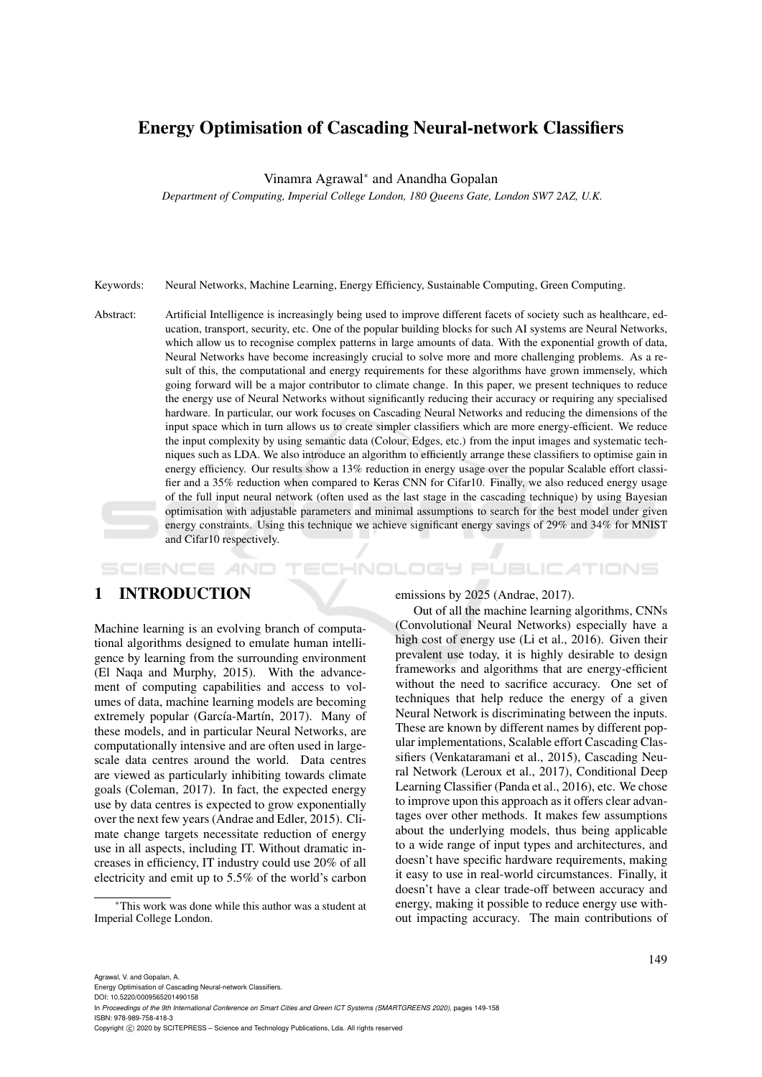# Energy Optimisation of Cascading Neural-network Classifiers

Vinamra Agrawal<sup>∗</sup> and Anandha Gopalan

*Department of Computing, Imperial College London, 180 Queens Gate, London SW7 2AZ, U.K.*

- Keywords: Neural Networks, Machine Learning, Energy Efficiency, Sustainable Computing, Green Computing.
- Abstract: Artificial Intelligence is increasingly being used to improve different facets of society such as healthcare, education, transport, security, etc. One of the popular building blocks for such AI systems are Neural Networks, which allow us to recognise complex patterns in large amounts of data. With the exponential growth of data, Neural Networks have become increasingly crucial to solve more and more challenging problems. As a result of this, the computational and energy requirements for these algorithms have grown immensely, which going forward will be a major contributor to climate change. In this paper, we present techniques to reduce the energy use of Neural Networks without significantly reducing their accuracy or requiring any specialised hardware. In particular, our work focuses on Cascading Neural Networks and reducing the dimensions of the input space which in turn allows us to create simpler classifiers which are more energy-efficient. We reduce the input complexity by using semantic data (Colour, Edges, etc.) from the input images and systematic techniques such as LDA. We also introduce an algorithm to efficiently arrange these classifiers to optimise gain in energy efficiency. Our results show a 13% reduction in energy usage over the popular Scalable effort classifier and a 35% reduction when compared to Keras CNN for Cifar10. Finally, we also reduced energy usage of the full input neural network (often used as the last stage in the cascading technique) by using Bayesian optimisation with adjustable parameters and minimal assumptions to search for the best model under given energy constraints. Using this technique we achieve significant energy savings of 29% and 34% for MNIST and Cifar10 respectively.

# 1 INTRODUCTION

SCIENCE *A*ND

Machine learning is an evolving branch of computational algorithms designed to emulate human intelligence by learning from the surrounding environment (El Naqa and Murphy, 2015). With the advancement of computing capabilities and access to volumes of data, machine learning models are becoming extremely popular (García-Martín, 2017). Many of these models, and in particular Neural Networks, are computationally intensive and are often used in largescale data centres around the world. Data centres are viewed as particularly inhibiting towards climate goals (Coleman, 2017). In fact, the expected energy use by data centres is expected to grow exponentially over the next few years (Andrae and Edler, 2015). Climate change targets necessitate reduction of energy use in all aspects, including IT. Without dramatic increases in efficiency, IT industry could use 20% of all electricity and emit up to 5.5% of the world's carbon

emissions by 2025 (Andrae, 2017).

HNOLOGY PUBLICATIONS

Out of all the machine learning algorithms, CNNs (Convolutional Neural Networks) especially have a high cost of energy use (Li et al., 2016). Given their prevalent use today, it is highly desirable to design frameworks and algorithms that are energy-efficient without the need to sacrifice accuracy. One set of techniques that help reduce the energy of a given Neural Network is discriminating between the inputs. These are known by different names by different popular implementations, Scalable effort Cascading Classifiers (Venkataramani et al., 2015), Cascading Neural Network (Leroux et al., 2017), Conditional Deep Learning Classifier (Panda et al., 2016), etc. We chose to improve upon this approach as it offers clear advantages over other methods. It makes few assumptions about the underlying models, thus being applicable to a wide range of input types and architectures, and doesn't have specific hardware requirements, making it easy to use in real-world circumstances. Finally, it doesn't have a clear trade-off between accuracy and energy, making it possible to reduce energy use without impacting accuracy. The main contributions of

<sup>∗</sup>This work was done while this author was a student at Imperial College London.

Agrawal, V. and Gopalan, A.

Energy Optimisation of Cascading Neural-network Classifiers. DOI: 10.5220/0009565201490158

In *Proceedings of the 9th International Conference on Smart Cities and Green ICT Systems (SMARTGREENS 2020)*, pages 149-158 ISBN: 978-989-758-418-3

Copyright (C) 2020 by SCITEPRESS - Science and Technology Publications, Lda. All rights reserved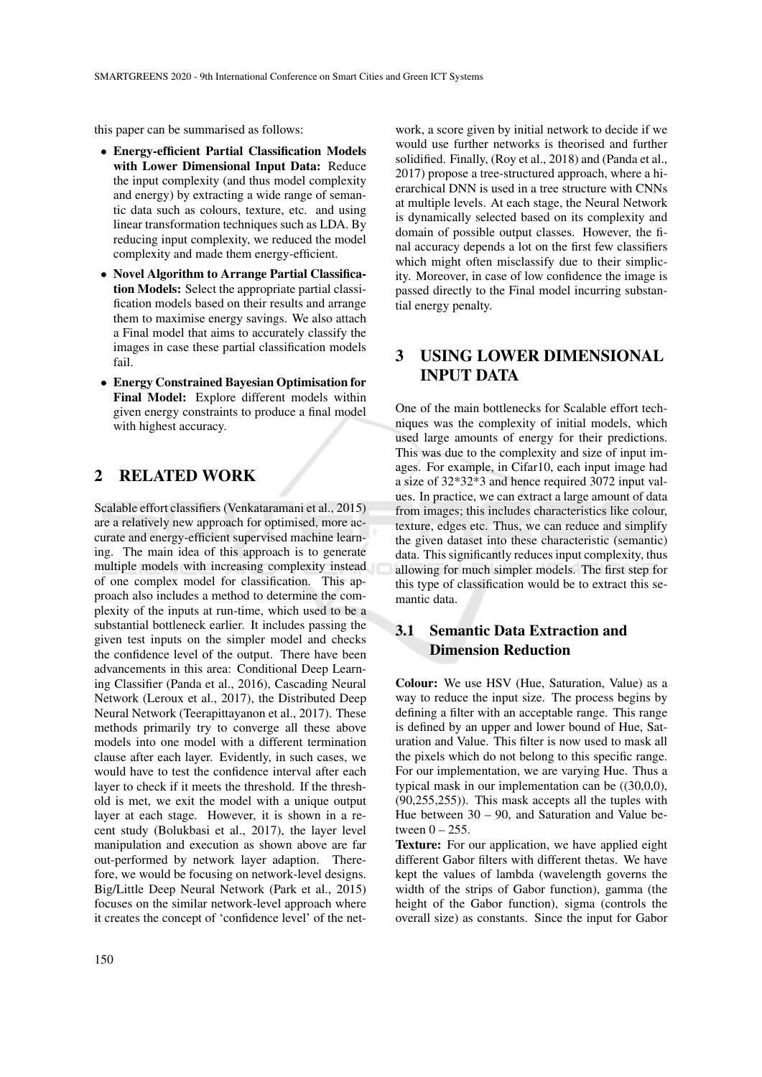this paper can be summarised as follows:

- Energy-efficient Partial Classification Models with Lower Dimensional Input Data: Reduce the input complexity (and thus model complexity and energy) by extracting a wide range of semantic data such as colours, texture, etc. and using linear transformation techniques such as LDA. By reducing input complexity, we reduced the model complexity and made them energy-efficient.
- Novel Algorithm to Arrange Partial Classification Models: Select the appropriate partial classification models based on their results and arrange them to maximise energy savings. We also attach a Final model that aims to accurately classify the images in case these partial classification models fail.
- Energy Constrained Bayesian Optimisation for Final Model: Explore different models within given energy constraints to produce a final model with highest accuracy.

## 2 RELATED WORK

Scalable effort classifiers (Venkataramani et al., 2015) are a relatively new approach for optimised, more accurate and energy-efficient supervised machine learning. The main idea of this approach is to generate multiple models with increasing complexity instead of one complex model for classification. This approach also includes a method to determine the complexity of the inputs at run-time, which used to be a substantial bottleneck earlier. It includes passing the given test inputs on the simpler model and checks the confidence level of the output. There have been advancements in this area: Conditional Deep Learning Classifier (Panda et al., 2016), Cascading Neural Network (Leroux et al., 2017), the Distributed Deep Neural Network (Teerapittayanon et al., 2017). These methods primarily try to converge all these above models into one model with a different termination clause after each layer. Evidently, in such cases, we would have to test the confidence interval after each layer to check if it meets the threshold. If the threshold is met, we exit the model with a unique output layer at each stage. However, it is shown in a recent study (Bolukbasi et al., 2017), the layer level manipulation and execution as shown above are far out-performed by network layer adaption. Therefore, we would be focusing on network-level designs. Big/Little Deep Neural Network (Park et al., 2015) focuses on the similar network-level approach where it creates the concept of 'confidence level' of the net-

work, a score given by initial network to decide if we would use further networks is theorised and further solidified. Finally, (Roy et al., 2018) and (Panda et al., 2017) propose a tree-structured approach, where a hierarchical DNN is used in a tree structure with CNNs at multiple levels. At each stage, the Neural Network is dynamically selected based on its complexity and domain of possible output classes. However, the final accuracy depends a lot on the first few classifiers which might often misclassify due to their simplicity. Moreover, in case of low confidence the image is passed directly to the Final model incurring substantial energy penalty.

# 3 USING LOWER DIMENSIONAL INPUT DATA

One of the main bottlenecks for Scalable effort techniques was the complexity of initial models, which used large amounts of energy for their predictions. This was due to the complexity and size of input images. For example, in Cifar10, each input image had a size of 32\*32\*3 and hence required 3072 input values. In practice, we can extract a large amount of data from images; this includes characteristics like colour, texture, edges etc. Thus, we can reduce and simplify the given dataset into these characteristic (semantic) data. This significantly reduces input complexity, thus allowing for much simpler models. The first step for this type of classification would be to extract this semantic data.

# 3.1 Semantic Data Extraction and Dimension Reduction

Colour: We use HSV (Hue, Saturation, Value) as a way to reduce the input size. The process begins by defining a filter with an acceptable range. This range is defined by an upper and lower bound of Hue, Saturation and Value. This filter is now used to mask all the pixels which do not belong to this specific range. For our implementation, we are varying Hue. Thus a typical mask in our implementation can be ((30,0,0), (90,255,255)). This mask accepts all the tuples with Hue between 30 – 90, and Saturation and Value between  $0 - 255$ .

Texture: For our application, we have applied eight different Gabor filters with different thetas. We have kept the values of lambda (wavelength governs the width of the strips of Gabor function), gamma (the height of the Gabor function), sigma (controls the overall size) as constants. Since the input for Gabor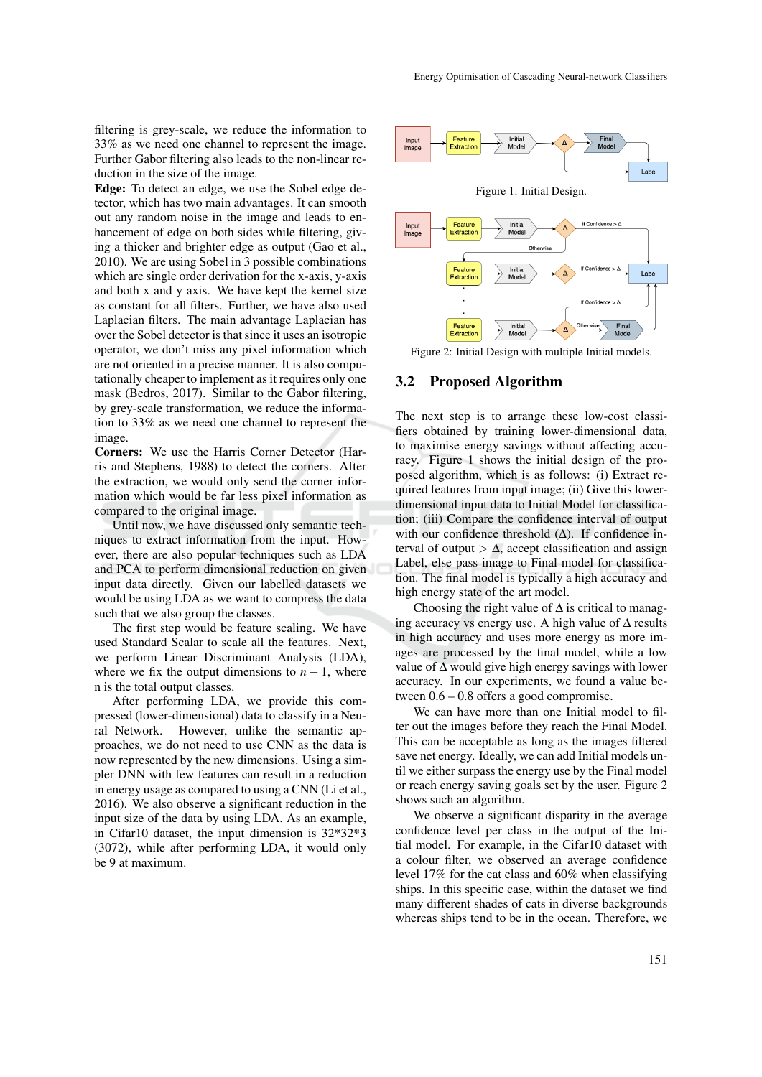filtering is grey-scale, we reduce the information to 33% as we need one channel to represent the image. Further Gabor filtering also leads to the non-linear reduction in the size of the image.

Edge: To detect an edge, we use the Sobel edge detector, which has two main advantages. It can smooth out any random noise in the image and leads to enhancement of edge on both sides while filtering, giving a thicker and brighter edge as output (Gao et al., 2010). We are using Sobel in 3 possible combinations which are single order derivation for the x-axis, y-axis and both x and y axis. We have kept the kernel size as constant for all filters. Further, we have also used Laplacian filters. The main advantage Laplacian has over the Sobel detector is that since it uses an isotropic operator, we don't miss any pixel information which are not oriented in a precise manner. It is also computationally cheaper to implement as it requires only one mask (Bedros, 2017). Similar to the Gabor filtering, by grey-scale transformation, we reduce the information to 33% as we need one channel to represent the image.

Corners: We use the Harris Corner Detector (Harris and Stephens, 1988) to detect the corners. After the extraction, we would only send the corner information which would be far less pixel information as compared to the original image.

Until now, we have discussed only semantic techniques to extract information from the input. However, there are also popular techniques such as LDA and PCA to perform dimensional reduction on given input data directly. Given our labelled datasets we would be using LDA as we want to compress the data such that we also group the classes.

The first step would be feature scaling. We have used Standard Scalar to scale all the features. Next, we perform Linear Discriminant Analysis (LDA), where we fix the output dimensions to  $n - 1$ , where n is the total output classes.

After performing LDA, we provide this compressed (lower-dimensional) data to classify in a Neural Network. However, unlike the semantic approaches, we do not need to use CNN as the data is now represented by the new dimensions. Using a simpler DNN with few features can result in a reduction in energy usage as compared to using a CNN (Li et al., 2016). We also observe a significant reduction in the input size of the data by using LDA. As an example, in Cifar10 dataset, the input dimension is 32\*32\*3 (3072), while after performing LDA, it would only be 9 at maximum.



Figure 2: Initial Design with multiple Initial models.

#### 3.2 Proposed Algorithm

The next step is to arrange these low-cost classifiers obtained by training lower-dimensional data, to maximise energy savings without affecting accuracy. Figure 1 shows the initial design of the proposed algorithm, which is as follows: (i) Extract required features from input image; (ii) Give this lowerdimensional input data to Initial Model for classification; (iii) Compare the confidence interval of output with our confidence threshold  $(\Delta)$ . If confidence interval of output  $> \Delta$ , accept classification and assign Label, else pass image to Final model for classification. The final model is typically a high accuracy and high energy state of the art model.

Choosing the right value of  $\Delta$  is critical to managing accuracy vs energy use. A high value of ∆ results in high accuracy and uses more energy as more images are processed by the final model, while a low value of ∆ would give high energy savings with lower accuracy. In our experiments, we found a value between 0.6 – 0.8 offers a good compromise.

We can have more than one Initial model to filter out the images before they reach the Final Model. This can be acceptable as long as the images filtered save net energy. Ideally, we can add Initial models until we either surpass the energy use by the Final model or reach energy saving goals set by the user. Figure 2 shows such an algorithm.

We observe a significant disparity in the average confidence level per class in the output of the Initial model. For example, in the Cifar10 dataset with a colour filter, we observed an average confidence level 17% for the cat class and 60% when classifying ships. In this specific case, within the dataset we find many different shades of cats in diverse backgrounds whereas ships tend to be in the ocean. Therefore, we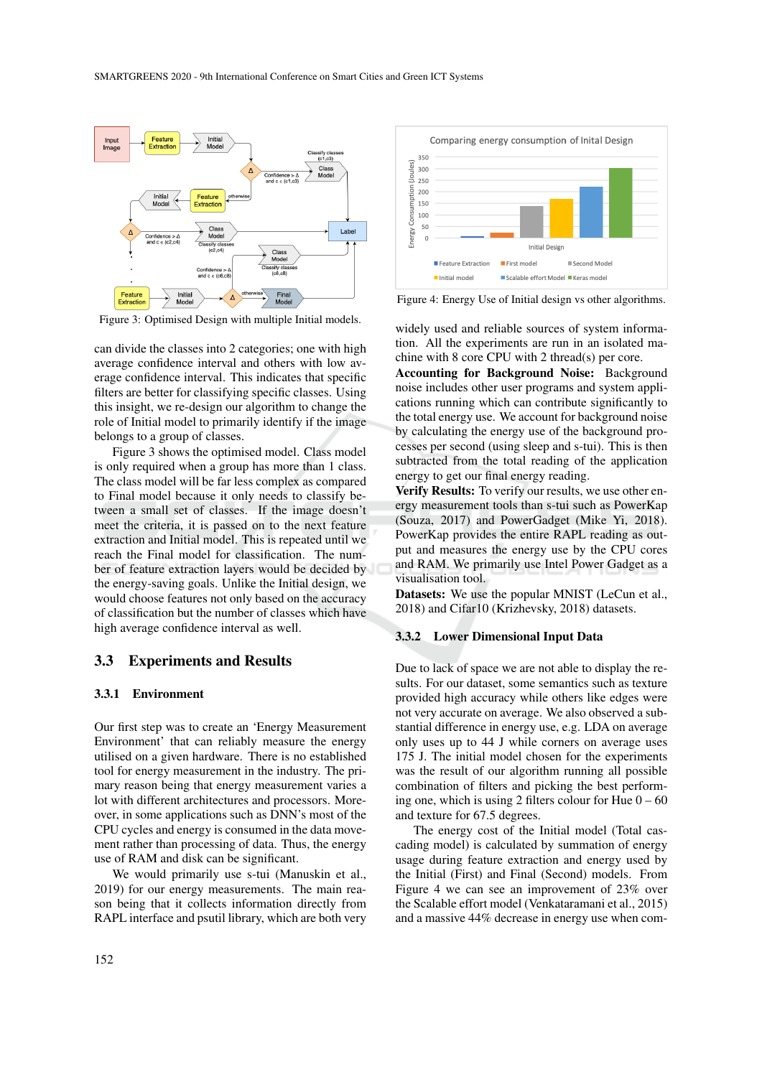

Figure 3: Optimised Design with multiple Initial models.

can divide the classes into 2 categories; one with high average confidence interval and others with low average confidence interval. This indicates that specific filters are better for classifying specific classes. Using this insight, we re-design our algorithm to change the role of Initial model to primarily identify if the image belongs to a group of classes.

Figure 3 shows the optimised model. Class model is only required when a group has more than 1 class. The class model will be far less complex as compared to Final model because it only needs to classify between a small set of classes. If the image doesn't meet the criteria, it is passed on to the next feature extraction and Initial model. This is repeated until we reach the Final model for classification. The number of feature extraction layers would be decided by the energy-saving goals. Unlike the Initial design, we would choose features not only based on the accuracy of classification but the number of classes which have high average confidence interval as well.

### 3.3 Experiments and Results

#### 3.3.1 Environment

Our first step was to create an 'Energy Measurement Environment' that can reliably measure the energy utilised on a given hardware. There is no established tool for energy measurement in the industry. The primary reason being that energy measurement varies a lot with different architectures and processors. Moreover, in some applications such as DNN's most of the CPU cycles and energy is consumed in the data movement rather than processing of data. Thus, the energy use of RAM and disk can be significant.

We would primarily use s-tui (Manuskin et al., 2019) for our energy measurements. The main reason being that it collects information directly from RAPL interface and psutil library, which are both very



Figure 4: Energy Use of Initial design vs other algorithms.

widely used and reliable sources of system information. All the experiments are run in an isolated machine with 8 core CPU with 2 thread(s) per core.

Accounting for Background Noise: Background noise includes other user programs and system applications running which can contribute significantly to the total energy use. We account for background noise by calculating the energy use of the background processes per second (using sleep and s-tui). This is then subtracted from the total reading of the application energy to get our final energy reading.

Verify Results: To verify our results, we use other energy measurement tools than s-tui such as PowerKap (Souza, 2017) and PowerGadget (Mike Yi, 2018). PowerKap provides the entire RAPL reading as output and measures the energy use by the CPU cores and RAM. We primarily use Intel Power Gadget as a visualisation tool.

Datasets: We use the popular MNIST (LeCun et al., 2018) and Cifar10 (Krizhevsky, 2018) datasets.

#### 3.3.2 Lower Dimensional Input Data

Due to lack of space we are not able to display the results. For our dataset, some semantics such as texture provided high accuracy while others like edges were not very accurate on average. We also observed a substantial difference in energy use, e.g. LDA on average only uses up to 44 J while corners on average uses 175 J. The initial model chosen for the experiments was the result of our algorithm running all possible combination of filters and picking the best performing one, which is using 2 filters colour for Hue  $0 - 60$ and texture for 67.5 degrees.

The energy cost of the Initial model (Total cascading model) is calculated by summation of energy usage during feature extraction and energy used by the Initial (First) and Final (Second) models. From Figure 4 we can see an improvement of 23% over the Scalable effort model (Venkataramani et al., 2015) and a massive 44% decrease in energy use when com-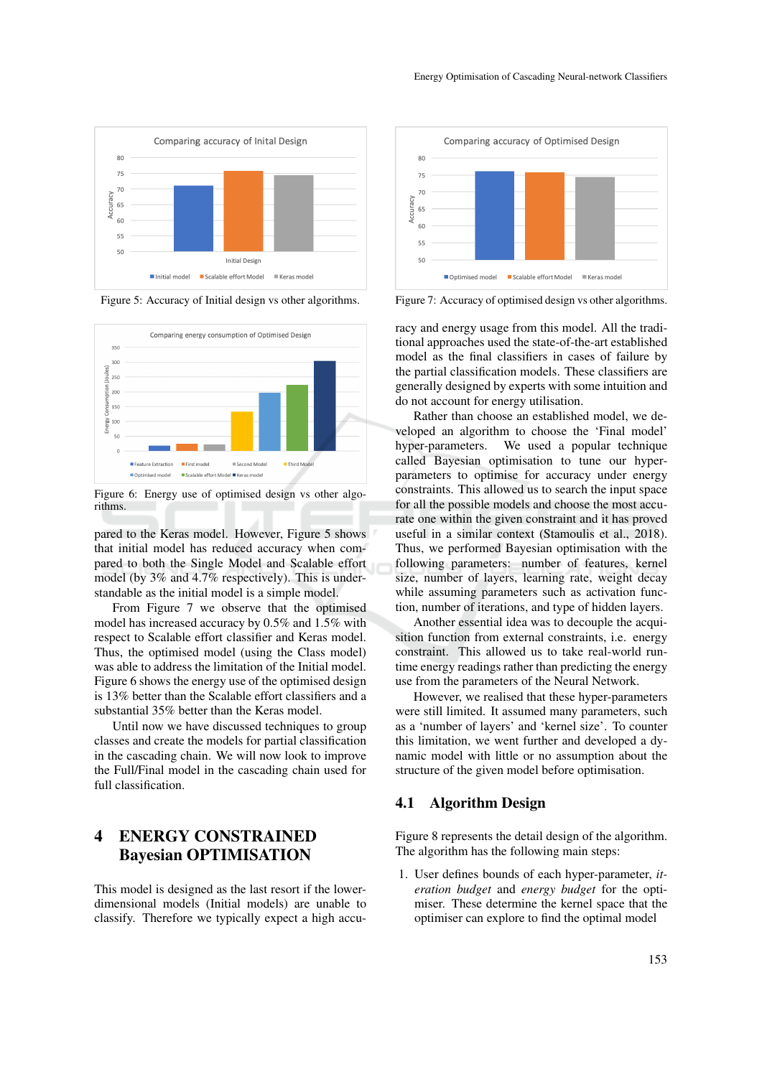



Figure 5: Accuracy of Initial design vs other algorithms.



Figure 6: Energy use of optimised design vs other algorithms.

pared to the Keras model. However, Figure 5 shows that initial model has reduced accuracy when compared to both the Single Model and Scalable effort model (by 3% and 4.7% respectively). This is understandable as the initial model is a simple model.

From Figure 7 we observe that the optimised model has increased accuracy by 0.5% and 1.5% with respect to Scalable effort classifier and Keras model. Thus, the optimised model (using the Class model) was able to address the limitation of the Initial model. Figure 6 shows the energy use of the optimised design is 13% better than the Scalable effort classifiers and a substantial 35% better than the Keras model.

Until now we have discussed techniques to group classes and create the models for partial classification in the cascading chain. We will now look to improve the Full/Final model in the cascading chain used for full classification.

# 4 ENERGY CONSTRAINED Bayesian OPTIMISATION

This model is designed as the last resort if the lowerdimensional models (Initial models) are unable to classify. Therefore we typically expect a high accu-



Figure 7: Accuracy of optimised design vs other algorithms.

racy and energy usage from this model. All the traditional approaches used the state-of-the-art established model as the final classifiers in cases of failure by the partial classification models. These classifiers are generally designed by experts with some intuition and do not account for energy utilisation.

Rather than choose an established model, we developed an algorithm to choose the 'Final model' hyper-parameters. We used a popular technique called Bayesian optimisation to tune our hyperparameters to optimise for accuracy under energy constraints. This allowed us to search the input space for all the possible models and choose the most accurate one within the given constraint and it has proved useful in a similar context (Stamoulis et al., 2018). Thus, we performed Bayesian optimisation with the following parameters: number of features, kernel size, number of layers, learning rate, weight decay while assuming parameters such as activation function, number of iterations, and type of hidden layers.

Another essential idea was to decouple the acquisition function from external constraints, i.e. energy constraint. This allowed us to take real-world runtime energy readings rather than predicting the energy use from the parameters of the Neural Network.

However, we realised that these hyper-parameters were still limited. It assumed many parameters, such as a 'number of layers' and 'kernel size'. To counter this limitation, we went further and developed a dynamic model with little or no assumption about the structure of the given model before optimisation.

### 4.1 Algorithm Design

Figure 8 represents the detail design of the algorithm. The algorithm has the following main steps:

1. User defines bounds of each hyper-parameter, *iteration budget* and *energy budget* for the optimiser. These determine the kernel space that the optimiser can explore to find the optimal model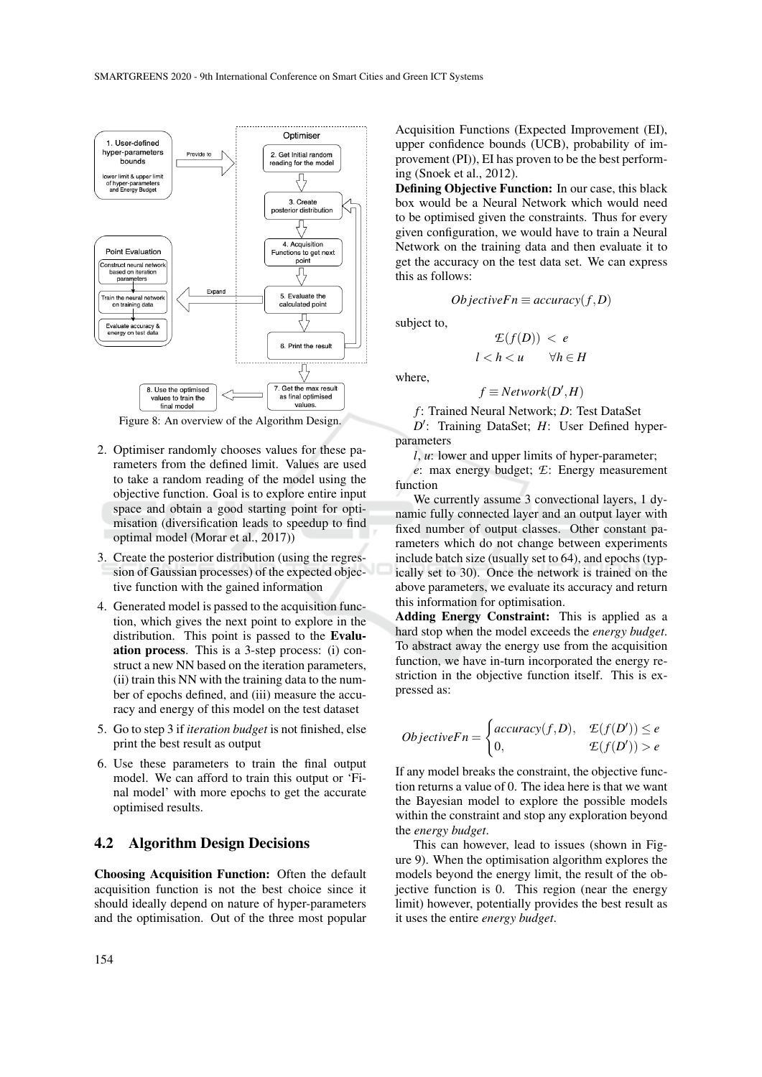

Figure 8: An overview of the Algorithm Design.

- 2. Optimiser randomly chooses values for these parameters from the defined limit. Values are used to take a random reading of the model using the objective function. Goal is to explore entire input space and obtain a good starting point for optimisation (diversification leads to speedup to find optimal model (Morar et al., 2017))
- 3. Create the posterior distribution (using the regression of Gaussian processes) of the expected objective function with the gained information
- 4. Generated model is passed to the acquisition function, which gives the next point to explore in the distribution. This point is passed to the Evaluation process. This is a 3-step process: (i) construct a new NN based on the iteration parameters, (ii) train this NN with the training data to the number of epochs defined, and (iii) measure the accuracy and energy of this model on the test dataset
- 5. Go to step 3 if *iteration budget* is not finished, else print the best result as output
- 6. Use these parameters to train the final output model. We can afford to train this output or 'Final model' with more epochs to get the accurate optimised results.

### 4.2 Algorithm Design Decisions

Choosing Acquisition Function: Often the default acquisition function is not the best choice since it should ideally depend on nature of hyper-parameters and the optimisation. Out of the three most popular

Acquisition Functions (Expected Improvement (EI), upper confidence bounds (UCB), probability of improvement (PI)), EI has proven to be the best performing (Snoek et al., 2012).

Defining Objective Function: In our case, this black box would be a Neural Network which would need to be optimised given the constraints. Thus for every given configuration, we would have to train a Neural Network on the training data and then evaluate it to get the accuracy on the test data set. We can express this as follows:

$$
ObjectiveFn \equiv accuracy(f, D)
$$

 $\mathcal{E}(f(D)) < e$ 

subject to,

where,

$$
l < h < u \qquad \forall h \in H
$$
\n
$$
f \equiv Network(D', H)
$$

*f* : Trained Neural Network; *D*: Test DataSet D': Training DataSet; *H*: User Defined hyperparameters

*l*, *u*: lower and upper limits of hyper-parameter;

*e*: max energy budget; *E*: Energy measurement function

We currently assume 3 convectional layers, 1 dynamic fully connected layer and an output layer with fixed number of output classes. Other constant parameters which do not change between experiments include batch size (usually set to 64), and epochs (typically set to 30). Once the network is trained on the above parameters, we evaluate its accuracy and return this information for optimisation.

Adding Energy Constraint: This is applied as a hard stop when the model exceeds the *energy budget*. To abstract away the energy use from the acquisition function, we have in-turn incorporated the energy restriction in the objective function itself. This is expressed as:

$$
ObjectiveFn = \begin{cases} accuracy(f,D), & \mathcal{E}(f(D')) \le e \\ 0, & \mathcal{E}(f(D')) > e \end{cases}
$$

If any model breaks the constraint, the objective function returns a value of 0. The idea here is that we want the Bayesian model to explore the possible models within the constraint and stop any exploration beyond the *energy budget*.

This can however, lead to issues (shown in Figure 9). When the optimisation algorithm explores the models beyond the energy limit, the result of the objective function is 0. This region (near the energy limit) however, potentially provides the best result as it uses the entire *energy budget*.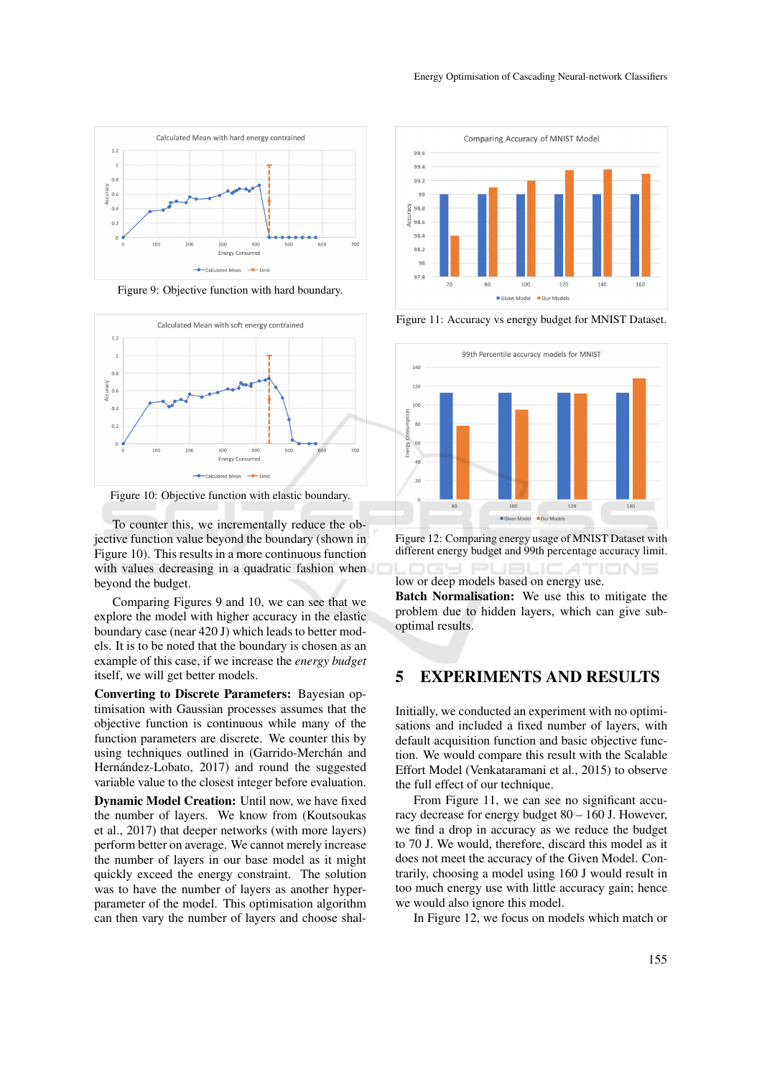

Figure 9: Objective function with hard boundary.



Figure 10: Objective function with elastic boundary.

To counter this, we incrementally reduce the objective function value beyond the boundary (shown in Figure 10). This results in a more continuous function with values decreasing in a quadratic fashion when beyond the budget.

Comparing Figures 9 and 10, we can see that we explore the model with higher accuracy in the elastic boundary case (near 420 J) which leads to better models. It is to be noted that the boundary is chosen as an example of this case, if we increase the *energy budget* itself, we will get better models.

Converting to Discrete Parameters: Bayesian optimisation with Gaussian processes assumes that the objective function is continuous while many of the function parameters are discrete. We counter this by using techniques outlined in (Garrido-Merchán and Hernández-Lobato, 2017) and round the suggested variable value to the closest integer before evaluation.

Dynamic Model Creation: Until now, we have fixed the number of layers. We know from (Koutsoukas et al., 2017) that deeper networks (with more layers) perform better on average. We cannot merely increase the number of layers in our base model as it might quickly exceed the energy constraint. The solution was to have the number of layers as another hyperparameter of the model. This optimisation algorithm can then vary the number of layers and choose shal-



Figure 11: Accuracy vs energy budget for MNIST Dataset.



Figure 12: Comparing energy usage of MNIST Dataset with different energy budget and 99th percentage accuracy limit.

low or deep models based on energy use.

Batch Normalisation: We use this to mitigate the problem due to hidden layers, which can give suboptimal results.

# 5 EXPERIMENTS AND RESULTS

Initially, we conducted an experiment with no optimisations and included a fixed number of layers, with default acquisition function and basic objective function. We would compare this result with the Scalable Effort Model (Venkataramani et al., 2015) to observe the full effect of our technique.

From Figure 11, we can see no significant accuracy decrease for energy budget 80 – 160 J. However, we find a drop in accuracy as we reduce the budget to 70 J. We would, therefore, discard this model as it does not meet the accuracy of the Given Model. Contrarily, choosing a model using 160 J would result in too much energy use with little accuracy gain; hence we would also ignore this model.

In Figure 12, we focus on models which match or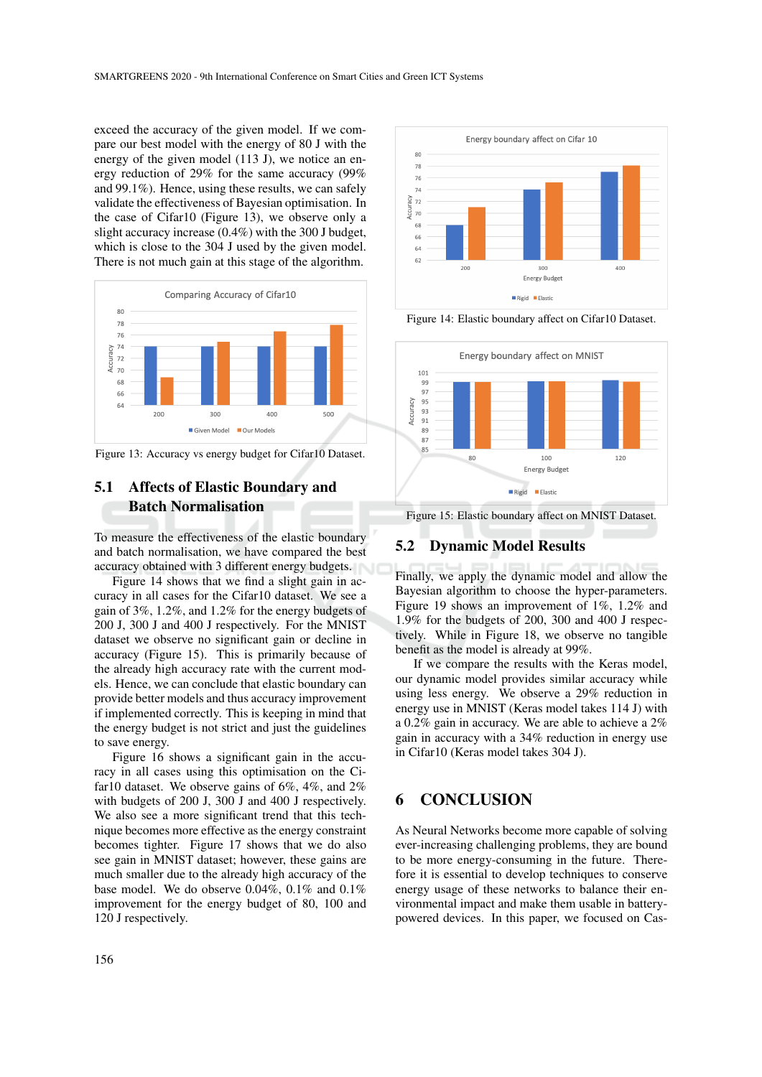exceed the accuracy of the given model. If we compare our best model with the energy of 80 J with the energy of the given model (113 J), we notice an energy reduction of 29% for the same accuracy (99% and 99.1%). Hence, using these results, we can safely validate the effectiveness of Bayesian optimisation. In the case of Cifar10 (Figure 13), we observe only a slight accuracy increase (0.4%) with the 300 J budget, which is close to the 304 J used by the given model. There is not much gain at this stage of the algorithm.



Figure 13: Accuracy vs energy budget for Cifar10 Dataset.

### 5.1 Affects of Elastic Boundary and Batch Normalisation

To measure the effectiveness of the elastic boundary and batch normalisation, we have compared the best accuracy obtained with 3 different energy budgets.

Figure 14 shows that we find a slight gain in accuracy in all cases for the Cifar10 dataset. We see a gain of 3%, 1.2%, and 1.2% for the energy budgets of 200 J, 300 J and 400 J respectively. For the MNIST dataset we observe no significant gain or decline in accuracy (Figure 15). This is primarily because of the already high accuracy rate with the current models. Hence, we can conclude that elastic boundary can provide better models and thus accuracy improvement if implemented correctly. This is keeping in mind that the energy budget is not strict and just the guidelines to save energy.

Figure 16 shows a significant gain in the accuracy in all cases using this optimisation on the Cifar10 dataset. We observe gains of 6%, 4%, and 2% with budgets of 200 J, 300 J and 400 J respectively. We also see a more significant trend that this technique becomes more effective as the energy constraint becomes tighter. Figure 17 shows that we do also see gain in MNIST dataset; however, these gains are much smaller due to the already high accuracy of the base model. We do observe 0.04%, 0.1% and 0.1% improvement for the energy budget of 80, 100 and 120 J respectively.



Figure 14: Elastic boundary affect on Cifar10 Dataset.



Figure 15: Elastic boundary affect on MNIST Dataset.

### 5.2 Dynamic Model Results

Finally, we apply the dynamic model and allow the Bayesian algorithm to choose the hyper-parameters. Figure 19 shows an improvement of 1%, 1.2% and 1.9% for the budgets of 200, 300 and 400 J respectively. While in Figure 18, we observe no tangible benefit as the model is already at 99%.

If we compare the results with the Keras model, our dynamic model provides similar accuracy while using less energy. We observe a 29% reduction in energy use in MNIST (Keras model takes 114 J) with a 0.2% gain in accuracy. We are able to achieve a 2% gain in accuracy with a 34% reduction in energy use in Cifar10 (Keras model takes 304 J).

## 6 CONCLUSION

As Neural Networks become more capable of solving ever-increasing challenging problems, they are bound to be more energy-consuming in the future. Therefore it is essential to develop techniques to conserve energy usage of these networks to balance their environmental impact and make them usable in batterypowered devices. In this paper, we focused on Cas-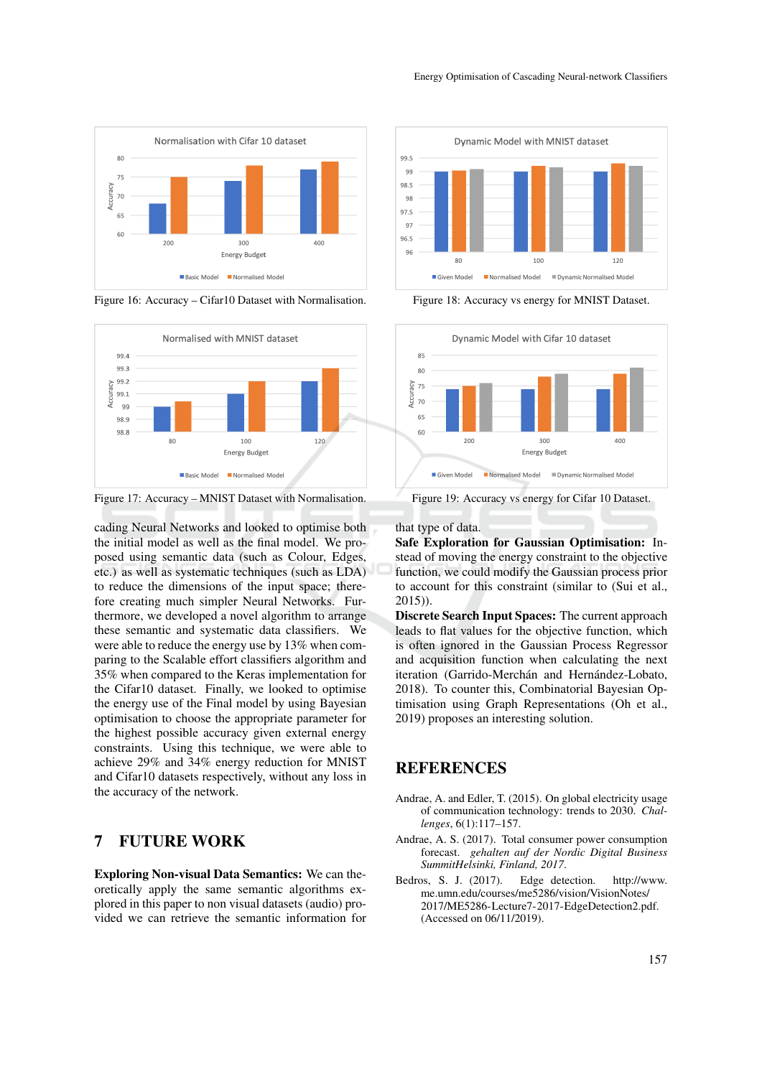

Figure 16: Accuracy – Cifar10 Dataset with Normalisation.



Figure 17: Accuracy – MNIST Dataset with Normalisation.

cading Neural Networks and looked to optimise both the initial model as well as the final model. We proposed using semantic data (such as Colour, Edges, etc.) as well as systematic techniques (such as LDA) to reduce the dimensions of the input space; therefore creating much simpler Neural Networks. Furthermore, we developed a novel algorithm to arrange these semantic and systematic data classifiers. We were able to reduce the energy use by 13% when comparing to the Scalable effort classifiers algorithm and 35% when compared to the Keras implementation for the Cifar10 dataset. Finally, we looked to optimise the energy use of the Final model by using Bayesian optimisation to choose the appropriate parameter for the highest possible accuracy given external energy constraints. Using this technique, we were able to achieve 29% and 34% energy reduction for MNIST and Cifar10 datasets respectively, without any loss in the accuracy of the network.

## 7 FUTURE WORK

Exploring Non-visual Data Semantics: We can theoretically apply the same semantic algorithms explored in this paper to non visual datasets (audio) provided we can retrieve the semantic information for



Figure 18: Accuracy vs energy for MNIST Dataset.



Figure 19: Accuracy vs energy for Cifar 10 Dataset.

that type of data.

Safe Exploration for Gaussian Optimisation: Instead of moving the energy constraint to the objective function, we could modify the Gaussian process prior to account for this constraint (similar to (Sui et al., 2015)).

Discrete Search Input Spaces: The current approach leads to flat values for the objective function, which is often ignored in the Gaussian Process Regressor and acquisition function when calculating the next iteration (Garrido-Merchán and Hernández-Lobato, 2018). To counter this, Combinatorial Bayesian Optimisation using Graph Representations (Oh et al., 2019) proposes an interesting solution.

### **REFERENCES**

- Andrae, A. and Edler, T. (2015). On global electricity usage of communication technology: trends to 2030. *Challenges*, 6(1):117–157.
- Andrae, A. S. (2017). Total consumer power consumption forecast. *gehalten auf der Nordic Digital Business SummitHelsinki, Finland, 2017*.
- Bedros, S. J. (2017). Edge detection. http://www. me.umn.edu/courses/me5286/vision/VisionNotes/ 2017/ME5286-Lecture7-2017-EdgeDetection2.pdf. (Accessed on 06/11/2019).